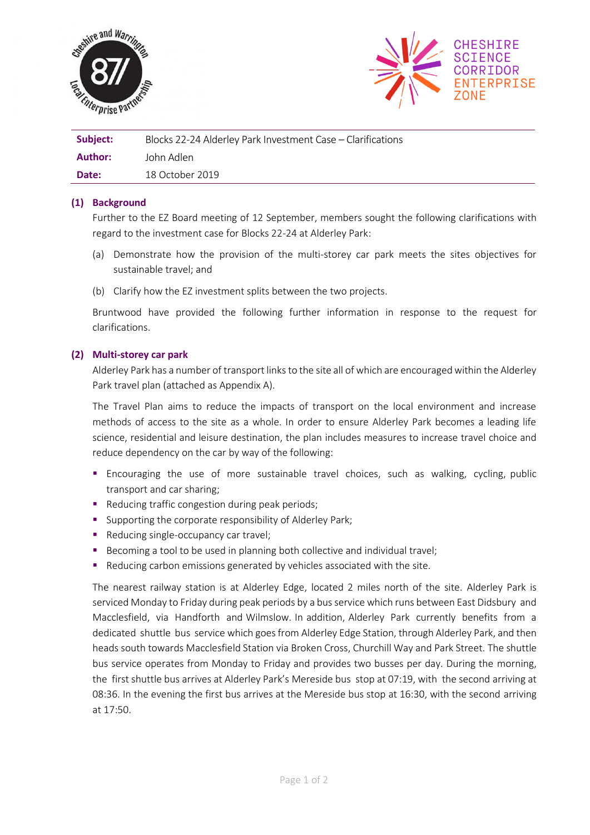



| Subject: | Blocks 22-24 Alderley Park Investment Case - Clarifications |
|----------|-------------------------------------------------------------|
| Author:  | John Adlen                                                  |
| Date:    | 18 October 2019                                             |

## **(1) Background**

Further to the EZ Board meeting of 12 September, members sought the following clarifications with regard to the investment case for Blocks 22-24 at Alderley Park:

- (a) Demonstrate how the provision of the multi-storey car park meets the sites objectives for sustainable travel; and
- (b) Clarify how the EZ investment splits between the two projects.

Bruntwood have provided the following further information in response to the request for clarifications.

## **(2) Multi-storey car park**

Alderley Park has a number of transport links to the site all of which are encouraged within the Alderley Park travel plan (attached as Appendix A).

The Travel Plan aims to reduce the impacts of transport on the local environment and increase methods of access to the site as a whole. In order to ensure Alderley Park becomes a leading life science, residential and leisure destination, the plan includes measures to increase travel choice and reduce dependency on the car by way of the following:

- **E** Encouraging the use of more sustainable travel choices, such as walking, cycling, public transport and car sharing;
- Reducing traffic congestion during peak periods;
- Supporting the corporate responsibility of Alderley Park;
- Reducing single-occupancy car travel;
- Becoming a tool to be used in planning both collective and individual travel;
- Reducing carbon emissions generated by vehicles associated with the site.

The nearest railway station is at Alderley Edge, located 2 miles north of the site. Alderley Park is serviced Monday to Friday during peak periods by a bus service which runs between East Didsbury and Macclesfield, via Handforth and Wilmslow. In addition, Alderley Park currently benefits from a dedicated shuttle bus service which goes from Alderley Edge Station, through Alderley Park, and then heads south towards Macclesfield Station via Broken Cross, Churchill Way and Park Street. The shuttle bus service operates from Monday to Friday and provides two busses per day. During the morning, the first shuttle bus arrives at Alderley Park's Mereside bus stop at 07:19, with the second arriving at 08:36. In the evening the first bus arrives at the Mereside bus stop at 16:30, with the second arriving at 17:50.